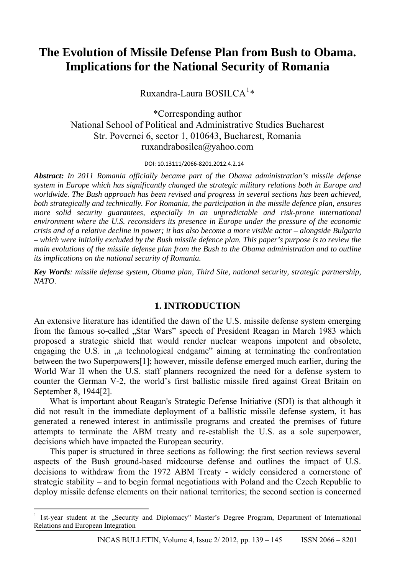# **The Evolution of Missile Defense Plan from Bush to Obama. Implications for the National Security of Romania**

Ruxandra-Laura BOSILCA $^{1*}$  $^{1*}$  $^{1*}$ 

\*Corresponding author National School of Political and Administrative Studies Bucharest Str. Povernei 6, sector 1, 010643, Bucharest, Romania ruxandrabosilca@yahoo.com

DOI: 10.13111/2066-8201.2012.4.2.14

*Abstract: In 2011 Romania officially became part of the Obama administration's missile defense system in Europe which has significantly changed the strategic military relations both in Europe and worldwide. The Bush approach has been revised and progress in several sections has been achieved, both strategically and technically. For Romania, the participation in the missile defence plan, ensures more solid security guarantees, especially in an unpredictable and risk-prone international environment where the U.S. reconsiders its presence in Europe under the pressure of the economic crisis and of a relative decline in power; it has also become a more visible actor – alongside Bulgaria – which were initially excluded by the Bush missile defence plan. This paper's purpose is to review the main evolutions of the missile defense plan from the Bush to the Obama administration and to outline its implications on the national security of Romania.* 

*Key Words: missile defense system, Obama plan, Third Site, national security, strategic partnership, NATO*.

### **1. INTRODUCTION**

An extensive literature has identified the dawn of the U.S. missile defense system emerging from the famous so-called "Star Wars" speech of President Reagan in March 1983 which proposed a strategic shield that would render nuclear weapons impotent and obsolete, engaging the U.S. in ,,a technological endgame" aiming at terminating the confrontation between the two Superpowers[1]; however, missile defense emerged much earlier, during the World War II when the U.S. staff planners recognized the need for a defense system to counter the German V-2, the world's first ballistic missile fired against Great Britain on September 8, 1944[2].

What is important about Reagan's Strategic Defense Initiative (SDI) is that although it did not result in the immediate deployment of a ballistic missile defense system, it has generated a renewed interest in antimissile programs and created the premises of future attempts to terminate the ABM treaty and re-establish the U.S. as a sole superpower, decisions which have impacted the European security.

This paper is structured in three sections as following: the first section reviews several aspects of the Bush ground-based midcourse defense and outlines the impact of U.S. decisions to withdraw from the 1972 ABM Treaty - widely considered a cornerstone of strategic stability – and to begin formal negotiations with Poland and the Czech Republic to deploy missile defense elements on their national territories; the second section is concerned

<span id="page-0-0"></span><sup>&</sup>lt;sup>1</sup> 1st-year student at the "Security and Diplomacy" Master's Degree Program, Department of International Relations and European Integration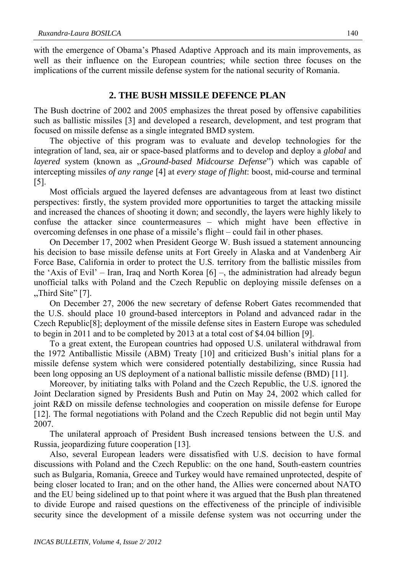with the emergence of Obama's Phased Adaptive Approach and its main improvements, as well as their influence on the European countries; while section three focuses on the implications of the current missile defense system for the national security of Romania.

#### **2. THE BUSH MISSILE DEFENCE PLAN**

The Bush doctrine of 2002 and 2005 emphasizes the threat posed by offensive capabilities such as ballistic missiles [3] and developed a research, development, and test program that focused on missile defense as a single integrated BMD system.

The objective of this program was to evaluate and develop technologies for the integration of land, sea, air or space-based platforms and to develop and deploy a *global* and *layered* system (known as "*Ground-based Midcourse Defense*") which was capable of intercepting missiles *of any range* [4] at *every stage of flight*: boost, mid-course and terminal [5].

Most officials argued the layered defenses are advantageous from at least two distinct perspectives: firstly, the system provided more opportunities to target the attacking missile and increased the chances of shooting it down; and secondly, the layers were highly likely to confuse the attacker since countermeasures – which might have been effective in overcoming defenses in one phase of a missile's flight – could fail in other phases.

On December 17, 2002 when President George W. Bush issued a statement announcing his decision to base missile defense units at Fort Greely in Alaska and at Vandenberg Air Force Base, California in order to protect the U.S. territory from the ballistic missiles from the 'Axis of Evil' – Iran, Iraq and North Korea [6] –, the administration had already begun unofficial talks with Poland and the Czech Republic on deploying missile defenses on a  $,$ Third Site" [7].

On December 27, 2006 the new secretary of defense Robert Gates recommended that the U.S. should place 10 ground-based interceptors in Poland and advanced radar in the Czech Republic[8]; deployment of the missile defense sites in Eastern Europe was scheduled to begin in 2011 and to be completed by 2013 at a total cost of \$4.04 billion [9].

To a great extent, the European countries had opposed U.S. unilateral withdrawal from the 1972 Antiballistic Missile (ABM) Treaty [10] and criticized Bush's initial plans for a missile defense system which were considered potentially destabilizing, since Russia had been long opposing an US deployment of a national ballistic missile defense (BMD) [11].

Moreover, by initiating talks with Poland and the Czech Republic, the U.S. ignored the Joint Declaration signed by Presidents Bush and Putin on May 24, 2002 which called for joint R&D on missile defense technologies and cooperation on missile defense for Europe [12]. The formal negotiations with Poland and the Czech Republic did not begin until May 2007.

The unilateral approach of President Bush increased tensions between the U.S. and Russia, jeopardizing future cooperation [13].

Also, several European leaders were dissatisfied with U.S. decision to have formal discussions with Poland and the Czech Republic: on the one hand, South-eastern countries such as Bulgaria, Romania, Greece and Turkey would have remained unprotected, despite of being closer located to Iran; and on the other hand, the Allies were concerned about NATO and the EU being sidelined up to that point where it was argued that the Bush plan threatened to divide Europe and raised questions on the effectiveness of the principle of indivisible security since the development of a missile defense system was not occurring under the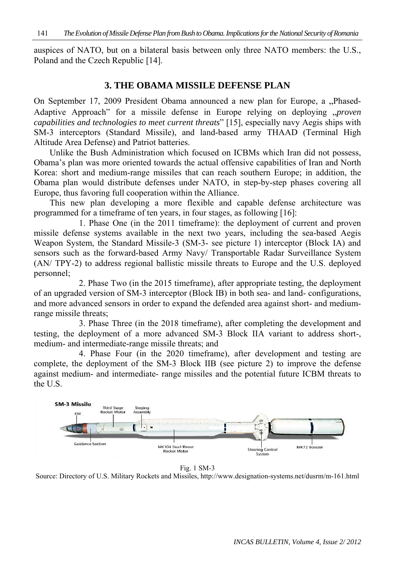auspices of NATO, but on a bilateral basis between only three NATO members: the U.S., Poland and the Czech Republic [14].

#### **3. THE OBAMA MISSILE DEFENSE PLAN**

On September 17, 2009 President Obama announced a new plan for Europe, a "Phased-Adaptive Approach" for a missile defense in Europe relying on deploying *"proven capabilities and technologies to meet current threats*" [15], especially navy Aegis ships with SM-3 interceptors (Standard Missile), and land-based army THAAD (Terminal High Altitude Area Defense) and Patriot batteries.

Unlike the Bush Administration which focused on ICBMs which Iran did not possess, Obama's plan was more oriented towards the actual offensive capabilities of Iran and North Korea: short and medium-range missiles that can reach southern Europe; in addition, the Obama plan would distribute defenses under NATO, in step-by-step phases covering all Europe, thus favoring full cooperation within the Alliance.

This new plan developing a more flexible and capable defense architecture was programmed for a timeframe of ten years, in four stages, as following [16]:

1. Phase One (in the 2011 timeframe): the deployment of current and proven missile defense systems available in the next two years, including the sea-based Aegis Weapon System, the Standard Missile-3 (SM-3- see picture 1) interceptor (Block IA) and sensors such as the forward-based Army Navy/ Transportable Radar Surveillance System (AN/ TPY-2) to address regional ballistic missile threats to Europe and the U.S. deployed personnel;

2. Phase Two (in the 2015 timeframe), after appropriate testing, the deployment of an upgraded version of SM-3 interceptor (Block IB) in both sea- and land- configurations, and more advanced sensors in order to expand the defended area against short- and mediumrange missile threats;

3. Phase Three (in the 2018 timeframe), after completing the development and testing, the deployment of a more advanced SM-3 Block IIA variant to address short-, medium- and intermediate-range missile threats; and

4. Phase Four (in the 2020 timeframe), after development and testing are complete, the deployment of the SM-3 Block IIB (see picture 2) to improve the defense against medium- and intermediate- range missiles and the potential future ICBM threats to the U.S.



Fig. 1 SM-3

Source: Directory of U.S. Military Rockets and Missiles, http://www.designation-systems.net/dusrm/m-161.html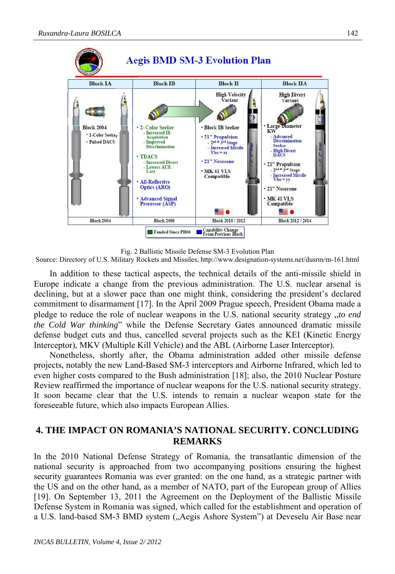

Fig. 2 Ballistic Missile Defense SM-3 Evolution Plan

Source: Directory of U.S. Military Rockets and Missiles, http://www.designation-systems.net/dusrm/m-161.html

In addition to these tactical aspects, the technical details of the anti-missile shield in Europe indicate a change from the previous administration. The U.S. nuclear arsenal is declining, but at a slower pace than one might think, considering the president's declared commitment to disarmament [17]. In the April 2009 Prague speech, President Obama made a pledge to reduce the role of nuclear weapons in the U.S. national security strategy "*to end the Cold War thinking*" while the Defense Secretary Gates announced dramatic missile defense budget cuts and thus, cancelled several projects such as the KEI (Kinetic Energy Interceptor), MKV (Multiple Kill Vehicle) and the ABL (Airborne Laser Interceptor).

Nonetheless, shortly after, the Obama administration added other missile defense projects, notably the new Land-Based SM-3 interceptors and Airborne Infrared, which led to even higher costs compared to the Bush administration [18]; also, the 2010 Nuclear Posture Review reaffirmed the importance of nuclear weapons for the U.S. national security strategy. It soon became clear that the U.S. intends to remain a nuclear weapon state for the foreseeable future, which also impacts European Allies.

## **4. THE IMPACT ON ROMANIA'S NATIONAL SECURITY. CONCLUDING REMARKS**

In the 2010 National Defense Strategy of Romania, the transatlantic dimension of the national security is approached from two accompanying positions ensuring the highest security guarantees Romania was ever granted: on the one hand, as a strategic partner with the US and on the other hand, as a member of NATO, part of the European group of Allies [19]. On September 13, 2011 the Agreement on the Deployment of the Ballistic Missile Defense System in Romania was signed, which called for the establishment and operation of a U.S. land-based SM-3 BMD system ("Aegis Ashore System") at Deveselu Air Base near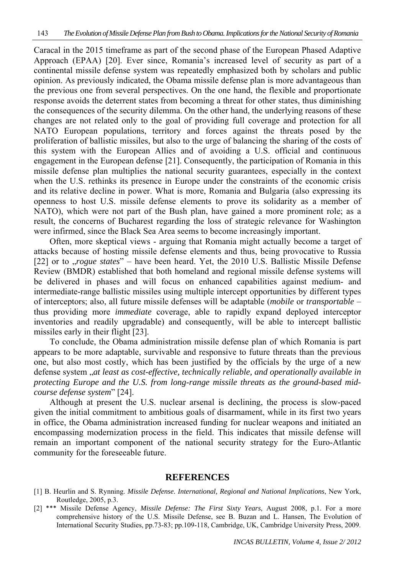Caracal in the 2015 timeframe as part of the second phase of the European Phased Adaptive Approach (EPAA) [20]. Ever since, Romania's increased level of security as part of a continental missile defense system was repeatedly emphasized both by scholars and public opinion. As previously indicated, the Obama missile defense plan is more advantageous than the previous one from several perspectives. On the one hand, the flexible and proportionate response avoids the deterrent states from becoming a threat for other states, thus diminishing the consequences of the security dilemma. On the other hand, the underlying reasons of these changes are not related only to the goal of providing full coverage and protection for all NATO European populations, territory and forces against the threats posed by the proliferation of ballistic missiles, but also to the urge of balancing the sharing of the costs of this system with the European Allies and of avoiding a U.S. official and continuous engagement in the European defense [21]. Consequently, the participation of Romania in this missile defense plan multiplies the national security guarantees, especially in the context when the U.S. rethinks its presence in Europe under the constraints of the economic crisis and its relative decline in power. What is more, Romania and Bulgaria (also expressing its openness to host U.S. missile defense elements to prove its solidarity as a member of NATO), which were not part of the Bush plan, have gained a more prominent role; as a result, the concerns of Bucharest regarding the loss of strategic relevance for Washington were infirmed, since the Black Sea Area seems to become increasingly important.

Often, more skeptical views - arguing that Romania might actually become a target of attacks because of hosting missile defense elements and thus, being provocative to Russia [22] or to *"rogue states*" – have been heard. Yet, the 2010 U.S. Ballistic Missile Defense Review (BMDR) established that both homeland and regional missile defense systems will be delivered in phases and will focus on enhanced capabilities against medium- and intermediate-range ballistic missiles using multiple intercept opportunities by different types of interceptors; also, all future missile defenses will be adaptable (*mobile* or *transportable* – thus providing more *immediate* coverage, able to rapidly expand deployed interceptor inventories and readily upgradable) and consequently, will be able to intercept ballistic missiles early in their flight [23].

To conclude, the Obama administration missile defense plan of which Romania is part appears to be more adaptable, survivable and responsive to future threats than the previous one, but also most costly, which has been justified by the officials by the urge of a new defense system "*at least as cost-effective, technically reliable, and operationally available in protecting Europe and the U.S. from long-range missile threats as the ground-based midcourse defense system*" [24].

Although at present the U.S. nuclear arsenal is declining, the process is slow-paced given the initial commitment to ambitious goals of disarmament, while in its first two years in office, the Obama administration increased funding for nuclear weapons and initiated an encompassing modernization process in the field. This indicates that missile defense will remain an important component of the national security strategy for the Euro-Atlantic community for the foreseeable future.

#### **REFERENCES**

- [1] B. Heurlin and S. Rynning. *Missile Defense. International, Regional and National Implications*, New York, Routledge, 2005, p.3.
- [2] \*\*\* Missile Defense Agency, *Missile Defense: The First Sixty Years*, August 2008, p.1. For a more comprehensive history of the U.S. Missile Defense, see B. Buzan and L. Hansen, The Evolution of International Security Studies, pp.73-83; pp.109-118, Cambridge, UK, Cambridge University Press, 2009.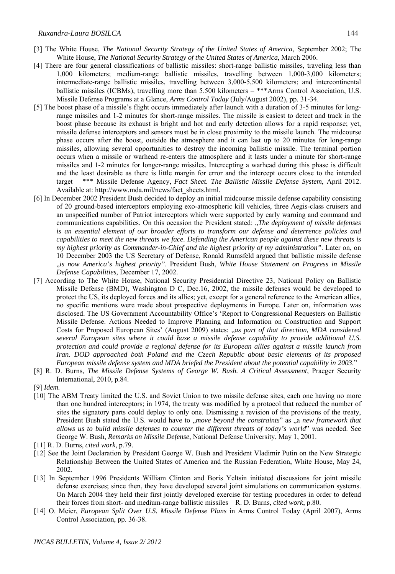- [3] The White House, *The National Security Strategy of the United States of America*, September 2002; The White House, *The National Security Strategy of the United States of America*, March 2006.
- [4] There are four general classifications of ballistic missiles: short-range ballistic missiles, traveling less than 1,000 kilometers; medium-range ballistic missiles, travelling between 1,000-3,000 kilometers; intermediate-range ballistic missiles, travelling between 3,000-5,500 kilometers; and intercontinental ballistic missiles (ICBMs), travelling more than 5.500 kilometers – \*\*\*Arms Control Association, U.S. Missile Defense Programs at a Glance, *Arms Control Today* (July/August 2002), pp. 31-34.
- [5] The boost phase of a missile's flight occurs immediately after launch with a duration of 3-5 minutes for longrange missiles and 1-2 minutes for short-range missiles. The missile is easiest to detect and track in the boost phase because its exhaust is bright and hot and early detection allows for a rapid response; yet, missile defense interceptors and sensors must be in close proximity to the missile launch. The midcourse phase occurs after the boost, outside the atmosphere and it can last up to 20 minutes for long-range missiles, allowing several opportunities to destroy the incoming ballistic missile. The terminal portion occurs when a missile or warhead re-enters the atmosphere and it lasts under a minute for short-range missiles and 1-2 minutes for longer-range missiles. Intercepting a warhead during this phase is difficult and the least desirable as there is little margin for error and the intercept occurs close to the intended target – \*\*\* Missile Defense Agency, *Fact Sheet. The Ballistic Missile Defense System*, April 2012. Available at: http://www.mda.mil/news/fact\_sheets.html.
- [6] In December 2002 President Bush decided to deploy an initial midcourse missile defense capability consisting of 20 ground-based interceptors employing exo-atmospheric kill vehicles, three Aegis-class cruisers and an unspecified number of Patriot interceptors which were supported by early warning and command and communications capabilities. On this occasion the President stated: "*The deployment of missile defenses is an essential element of our broader efforts to transform our defense and deterrence policies and capabilities to meet the new threats we face. Defending the American people against these new threats is my highest priority as Commander-in-Chief and the highest priority of my administration"*. Later on, on 10 December 2003 the US Secretary of Defense, Ronald Rumsfeld argued that ballistic missile defense "*is now America's highest priority"*. President Bush, *White House Statement on Progress in Missile Defense Capabilities*, December 17, 2002.
- [7] According to The White House, National Security Presidential Directive 23, National Policy on Ballistic Missile Defense (BMD), Washington D C, Dec.16, 2002, the missile defenses would be developed to protect the US, its deployed forces and its allies; yet, except for a general reference to the American allies, no specific mentions were made about prospective deployments in Europe. Later on, information was disclosed. The US Government Accountability Office's 'Report to Congressional Requesters on Ballistic Missile Defense. Actions Needed to Improve Planning and Information on Construction and Support Costs for Proposed European Sites' (August 2009) states: "*as part of that direction, MDA considered several European sites where it could base a missile defense capability to provide additional U.S. protection and could provide a regional defense for its European allies against a missile launch from Iran. DOD approached both Poland and the Czech Republic about basic elements of its proposed European missile defense system and MDA briefed the President about the potential capability in 2003*."
- [8] R. D. Burns, *The Missile Defense Systems of George W. Bush. A Critical Assessment*, Praeger Security International, 2010, p.84.
- [9] *Idem.*
- [10] The ABM Treaty limited the U.S. and Soviet Union to two missile defense sites, each one having no more than one hundred interceptors; in 1974, the treaty was modified by a protocol that reduced the number of sites the signatory parts could deploy to only one. Dismissing a revision of the provisions of the treaty, President Bush stated the U.S. would have to *"move beyond the constraints*" as "a *new framework that allows us to build missile defenses to counter the different threats of today's world*" was needed. See George W. Bush, *Remarks on Missile Defense*, National Defense University, May 1, 2001.
- [11] R. D. Burns, *cited work*, p.79.
- [12] See the Joint Declaration by President George W. Bush and President Vladimir Putin on the New Strategic Relationship Between the United States of America and the Russian Federation, White House, May 24, 2002.
- [13] In September 1996 Presidents William Clinton and Boris Yeltsin initiated discussions for joint missile defense exercises; since then, they have developed several joint simulations on communication systems. On March 2004 they held their first jointly developed exercise for testing procedures in order to defend their forces from short- and medium-range ballistic missiles – R. D. Burns, *cited work*, p.80.
- [14] O. Meier, *European Split Over U.S. Missile Defense Plans* in Arms Control Today (April 2007), Arms Control Association, pp. 36-38.